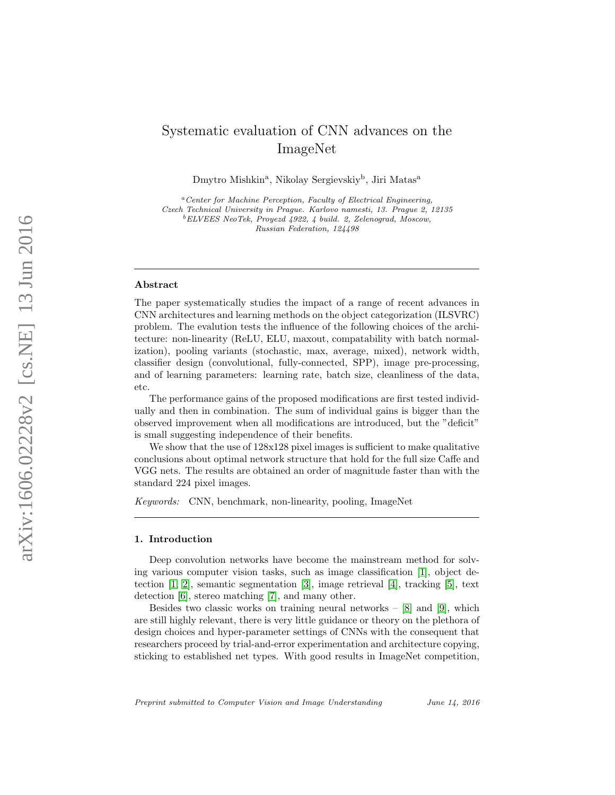# Systematic evaluation of CNN advances on the ImageNet

Dmytro Mishkin<sup>a</sup>, Nikolay Sergievskiy<sup>b</sup>, Jiri Matas<sup>a</sup>

 ${}^{a}$ Center for Machine Perception, Faculty of Electrical Engineering, Czech Technical University in Prague. Karlovo namesti, 13. Prague 2, 12135 <sup>b</sup>ELVEES NeoTek, Proyezd 4922, 4 build. 2, Zelenograd, Moscow, Russian Federation, 124498

#### Abstract

The paper systematically studies the impact of a range of recent advances in CNN architectures and learning methods on the object categorization (ILSVRC) problem. The evalution tests the influence of the following choices of the architecture: non-linearity (ReLU, ELU, maxout, compatability with batch normalization), pooling variants (stochastic, max, average, mixed), network width, classifier design (convolutional, fully-connected, SPP), image pre-processing, and of learning parameters: learning rate, batch size, cleanliness of the data, etc.

The performance gains of the proposed modifications are first tested individually and then in combination. The sum of individual gains is bigger than the observed improvement when all modifications are introduced, but the "deficit" is small suggesting independence of their benefits.

We show that the use of  $128x128$  pixel images is sufficient to make qualitative conclusions about optimal network structure that hold for the full size Caffe and VGG nets. The results are obtained an order of magnitude faster than with the standard 224 pixel images.

Keywords: CNN, benchmark, non-linearity, pooling, ImageNet

#### 1. Introduction

Deep convolution networks have become the mainstream method for solving various computer vision tasks, such as image classification [\[1\]](#page-17-0), object detection [\[1,](#page-17-0) [2\]](#page-17-1), semantic segmentation [\[3\]](#page-17-2), image retrieval [\[4\]](#page-17-3), tracking [\[5\]](#page-17-4), text detection [\[6\]](#page-17-5), stereo matching [\[7\]](#page-17-6), and many other.

Besides two classic works on training neural networks  $-$  [\[8\]](#page-17-7) and [\[9\]](#page-17-8), which are still highly relevant, there is very little guidance or theory on the plethora of design choices and hyper-parameter settings of CNNs with the consequent that researchers proceed by trial-and-error experimentation and architecture copying, sticking to established net types. With good results in ImageNet competition,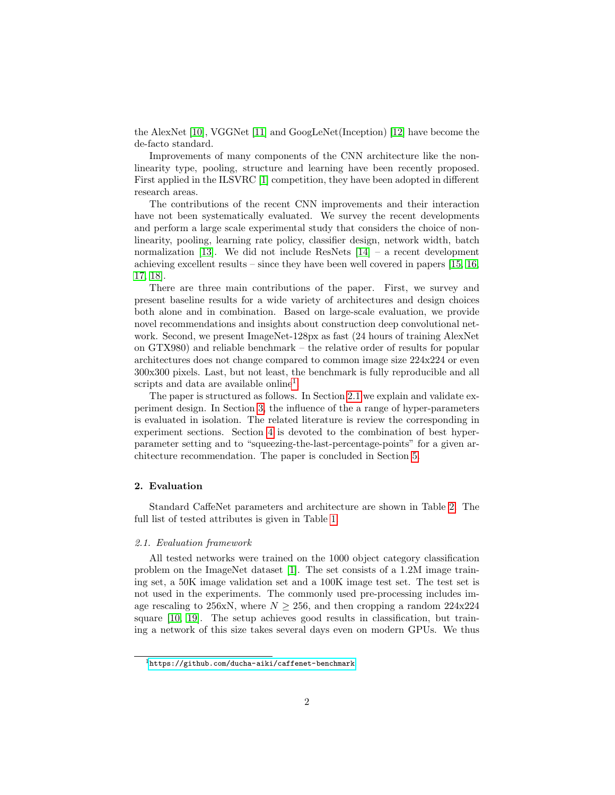the AlexNet [\[10\]](#page-17-9), VGGNet [\[11\]](#page-17-10) and GoogLeNet(Inception) [\[12\]](#page-17-11) have become the de-facto standard.

Improvements of many components of the CNN architecture like the nonlinearity type, pooling, structure and learning have been recently proposed. First applied in the ILSVRC [\[1\]](#page-17-0) competition, they have been adopted in different research areas.

The contributions of the recent CNN improvements and their interaction have not been systematically evaluated. We survey the recent developments and perform a large scale experimental study that considers the choice of nonlinearity, pooling, learning rate policy, classifier design, network width, batch normalization [\[13\]](#page-18-0). We did not include ResNets  $[14]$  – a recent development achieving excellent results – since they have been well covered in papers [\[15,](#page-18-2) [16,](#page-18-3) [17,](#page-18-4) [18\]](#page-18-5).

There are three main contributions of the paper. First, we survey and present baseline results for a wide variety of architectures and design choices both alone and in combination. Based on large-scale evaluation, we provide novel recommendations and insights about construction deep convolutional network. Second, we present ImageNet-128px as fast (24 hours of training AlexNet on GTX980) and reliable benchmark – the relative order of results for popular architectures does not change compared to common image size 224x224 or even 300x300 pixels. Last, but not least, the benchmark is fully reproducible and all scripts and data are available online<sup>[1](#page-1-0)</sup>.

The paper is structured as follows. In Section [2.1](#page-1-1) we explain and validate experiment design. In Section [3,](#page-3-0) the influence of the a range of hyper-parameters is evaluated in isolation. The related literature is review the corresponding in experiment sections. Section [4](#page-14-0) is devoted to the combination of best hyperparameter setting and to "squeezing-the-last-percentage-points" for a given architecture recommendation. The paper is concluded in Section [5.](#page-15-0)

## 2. Evaluation

Standard CaffeNet parameters and architecture are shown in Table [2.](#page-4-0) The full list of tested attributes is given in Table [1.](#page-2-0)

#### <span id="page-1-1"></span>2.1. Evaluation framework

All tested networks were trained on the 1000 object category classification problem on the ImageNet dataset [\[1\]](#page-17-0). The set consists of a 1.2M image training set, a 50K image validation set and a 100K image test set. The test set is not used in the experiments. The commonly used pre-processing includes image rescaling to 256xN, where  $N \ge 256$ , and then cropping a random 224x224 square [\[10,](#page-17-9) [19\]](#page-18-6). The setup achieves good results in classification, but training a network of this size takes several days even on modern GPUs. We thus

<span id="page-1-0"></span> $1$ <https://github.com/ducha-aiki/caffenet-benchmark>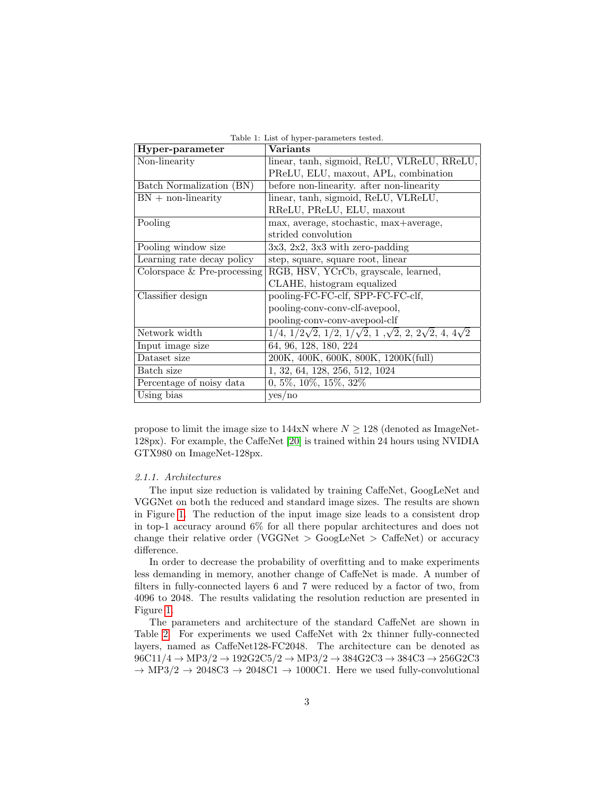| Hyper-parameter               | <b>Variants</b>                                                                                |
|-------------------------------|------------------------------------------------------------------------------------------------|
| Non-linearity                 | linear, tanh, sigmoid, ReLU, VLReLU, RReLU,                                                    |
|                               | PReLU, ELU, maxout, APL, combination                                                           |
| Batch Normalization (BN)      | before non-linearity. after non-linearity                                                      |
| $BN + non-linearity$          | linear, tanh, sigmoid, ReLU, VLReLU,                                                           |
|                               | RReLU, PReLU, ELU, maxout                                                                      |
| Pooling                       | max, average, stochastic, max+average,                                                         |
|                               | strided convolution                                                                            |
| Pooling window size           | $3x3, 2x2, 3x3$ with zero-padding                                                              |
| Learning rate decay policy    | step, square, square root, linear                                                              |
| Colorspace $&$ Pre-processing | RGB, HSV, YCrCb, grayscale, learned,                                                           |
|                               | CLAHE, histogram equalized                                                                     |
| Classifier design             | pooling-FC-FC-clf, SPP-FC-FC-clf,                                                              |
|                               | pooling-conv-conv-clf-avepool,                                                                 |
|                               | pooling-conv-conv-avepool-clf                                                                  |
| Network width                 | $1/4$ , $1/2\sqrt{2}$ , $1/2$ , $1/\sqrt{2}$ , $1, \sqrt{2}$ , $2, 2\sqrt{2}$ , $4, 4\sqrt{2}$ |
| Input image size              | 64, 96, 128, 180, 224                                                                          |
| Dataset size                  | 200K, 400K, 600K, 800K, 1200K(full)                                                            |
| Batch size                    | 1, 32, 64, 128, 256, 512, 1024                                                                 |
| Percentage of noisy data      | $0, 5\%, 10\%, 15\%, 32\%$                                                                     |
| Using bias                    | yes/no                                                                                         |

<span id="page-2-0"></span>Table 1: List of hyper-parameters tested.

propose to limit the image size to 144xN where  $N \geq 128$  (denoted as ImageNet-128px). For example, the CaffeNet [\[20\]](#page-18-7) is trained within 24 hours using NVIDIA GTX980 on ImageNet-128px.

#### 2.1.1. Architectures

The input size reduction is validated by training CaffeNet, GoogLeNet and VGGNet on both the reduced and standard image sizes. The results are shown in Figure [1.](#page-3-1) The reduction of the input image size leads to a consistent drop in top-1 accuracy around 6% for all there popular architectures and does not change their relative order (VGGNet  $>$  GoogLeNet  $>$  CaffeNet) or accuracy difference.

In order to decrease the probability of overfitting and to make experiments less demanding in memory, another change of CaffeNet is made. A number of filters in fully-connected layers 6 and 7 were reduced by a factor of two, from 4096 to 2048. The results validating the resolution reduction are presented in Figure [1.](#page-3-1)

The parameters and architecture of the standard CaffeNet are shown in Table [2.](#page-4-0) For experiments we used CaffeNet with 2x thinner fully-connected layers, named as CaffeNet128-FC2048. The architecture can be denoted as  $96C11/4 \rightarrow MP3/2 \rightarrow 192G2C5/2 \rightarrow MP3/2 \rightarrow 384G2C3 \rightarrow 384C3 \rightarrow 256G2C3$  $\rightarrow$  MP3/2  $\rightarrow$  2048C3  $\rightarrow$  2048C1  $\rightarrow$  1000C1. Here we used fully-convolutional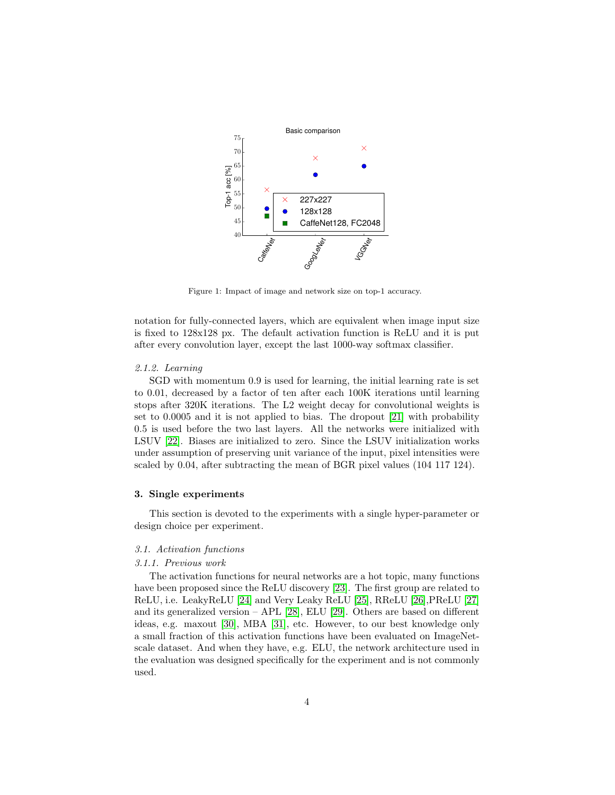

<span id="page-3-1"></span>Figure 1: Impact of image and network size on top-1 accuracy.

notation for fully-connected layers, which are equivalent when image input size is fixed to 128x128 px. The default activation function is ReLU and it is put after every convolution layer, except the last 1000-way softmax classifier.

#### 2.1.2. Learning

SGD with momentum 0.9 is used for learning, the initial learning rate is set to 0.01, decreased by a factor of ten after each 100K iterations until learning stops after 320K iterations. The L2 weight decay for convolutional weights is set to 0.0005 and it is not applied to bias. The dropout [\[21\]](#page-18-8) with probability 0.5 is used before the two last layers. All the networks were initialized with LSUV [\[22\]](#page-18-9). Biases are initialized to zero. Since the LSUV initialization works under assumption of preserving unit variance of the input, pixel intensities were scaled by 0.04, after subtracting the mean of BGR pixel values (104 117 124).

## <span id="page-3-0"></span>3. Single experiments

This section is devoted to the experiments with a single hyper-parameter or design choice per experiment.

# 3.1. Activation functions

# 3.1.1. Previous work

The activation functions for neural networks are a hot topic, many functions have been proposed since the ReLU discovery [\[23\]](#page-18-10). The first group are related to ReLU, i.e. LeakyReLU [\[24\]](#page-18-11) and Very Leaky ReLU [\[25\]](#page-18-12), RReLU [\[26\]](#page-18-13),PReLU [\[27\]](#page-19-0) and its generalized version – APL [\[28\]](#page-19-1), ELU [\[29\]](#page-19-2). Others are based on different ideas, e.g. maxout [\[30\]](#page-19-3), MBA [\[31\]](#page-19-4), etc. However, to our best knowledge only a small fraction of this activation functions have been evaluated on ImageNetscale dataset. And when they have, e.g. ELU, the network architecture used in the evaluation was designed specifically for the experiment and is not commonly used.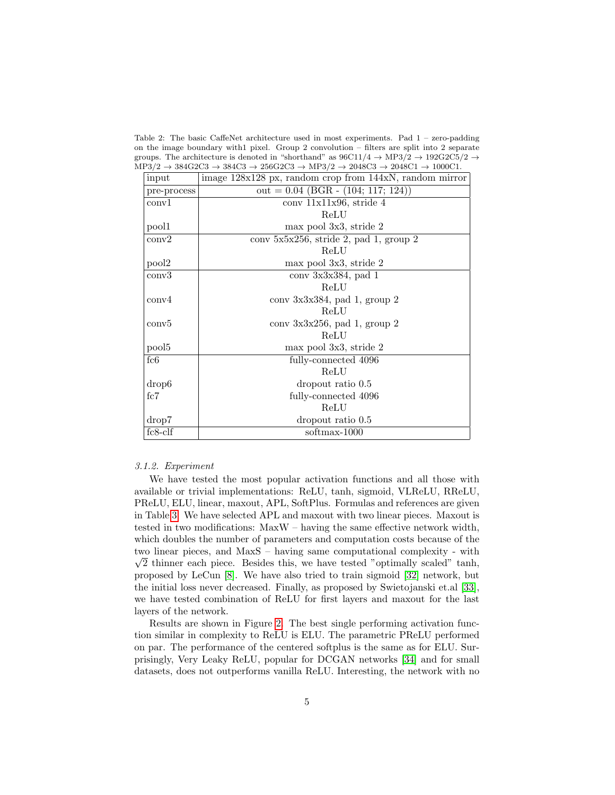<span id="page-4-0"></span>Table 2: The basic CaffeNet architecture used in most experiments. Pad 1 – zero-padding on the image boundary with1 pixel. Group 2 convolution – filters are split into 2 separate groups. The architecture is denoted in "shorthand" as  $96C11/4 \rightarrow MP3/2 \rightarrow 192G2C5/2 \rightarrow$  $MP3/2 \rightarrow 384 \text{G}2 \text{C}3 \rightarrow 384 \text{C}3 \rightarrow 256 \text{G}2 \text{C}3 \rightarrow \text{MP}3/2 \rightarrow 2048 \text{C}3 \rightarrow 2048 \text{C}1 \rightarrow 1000 \text{C}1.$ 

| input             | image 128x128 px, random crop from 144xN, random mirror |  |
|-------------------|---------------------------------------------------------|--|
| pre-process       | out = $0.04$ (BGR - $(104; 117; 124)$ )                 |  |
| conv1             | $conv$ 11x11x96, stride 4                               |  |
|                   | ReLU                                                    |  |
| pool1             | max pool 3x3, stride 2                                  |  |
| conv2             | $conv$ 5x5x256, stride 2, pad 1, group 2                |  |
|                   | ReLU                                                    |  |
| pool2             | max pool 3x3, stride 2                                  |  |
| conv3             | $conv$ 3x3x384, pad 1                                   |  |
|                   | ReLU                                                    |  |
| conv <sub>4</sub> | conv 3x3x384, pad 1, group 2                            |  |
|                   | ReLU                                                    |  |
| conv5             | conv $3x3x256$ , pad 1, group 2                         |  |
|                   | ReLU                                                    |  |
| pool <sub>5</sub> | max pool 3x3, stride 2                                  |  |
| fc6               | fully-connected 4096                                    |  |
|                   | ReLU                                                    |  |
| drop <sub>6</sub> | dropout ratio 0.5                                       |  |
| fc7               | fully-connected 4096                                    |  |
|                   | ReLU                                                    |  |
| drop7             | dropout ratio 0.5                                       |  |
| $fc8$ -clf        | softmax-1000                                            |  |

#### 3.1.2. Experiment

We have tested the most popular activation functions and all those with available or trivial implementations: ReLU, tanh, sigmoid, VLReLU, RReLU, PReLU, ELU, linear, maxout, APL, SoftPlus. Formulas and references are given in Table [3.](#page-5-0) We have selected APL and maxout with two linear pieces. Maxout is tested in two modifications: MaxW – having the same effective network width, which doubles the number of parameters and computation costs because of the two linear pieces, and MaxS – having same computational complexity - with  $\sqrt{2}$  thinner each piece. Besides this, we have tested "optimally scaled" tanh, proposed by LeCun [\[8\]](#page-17-7). We have also tried to train sigmoid [\[32\]](#page-19-5) network, but the initial loss never decreased. Finally, as proposed by Swietojanski et.al [\[33\]](#page-19-6), we have tested combination of ReLU for first layers and maxout for the last layers of the network.

Results are shown in Figure [2.](#page-6-0) The best single performing activation function similar in complexity to ReLU is ELU. The parametric PReLU performed on par. The performance of the centered softplus is the same as for ELU. Surprisingly, Very Leaky ReLU, popular for DCGAN networks [\[34\]](#page-19-7) and for small datasets, does not outperforms vanilla ReLU. Interesting, the network with no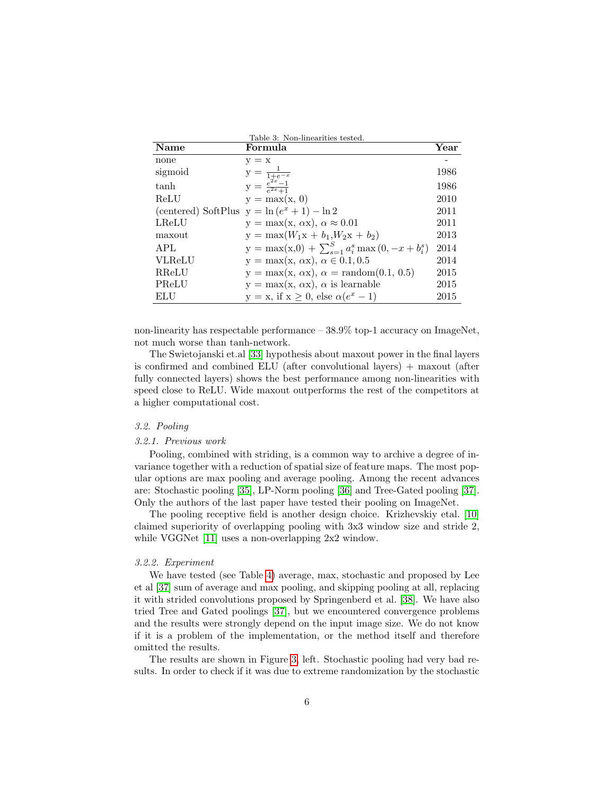<span id="page-5-0"></span>

| Name          | Formula                                                  | Year |
|---------------|----------------------------------------------------------|------|
| none          | $y = x$                                                  |      |
| sigmoid       | $y = \frac{1}{1 + e^{-x}}$                               | 1986 |
| tanh          | $y = \frac{e^{2x} - 1}{e^{2x} + 1}$                      | 1986 |
| ReLU          | $y = max(x, 0)$                                          | 2010 |
|               | (centered) SoftPlus $y = \ln(e^x + 1) - \ln 2$           | 2011 |
| LReLU         | $y = max(x, \alpha x), \alpha \approx 0.01$              | 2011 |
| maxout        | $y = max(W_1x + b_1, W_2x + b_2)$                        | 2013 |
| APL           | $y = max(x,0) + \sum_{s=1}^{S} a_i^s max(0, -x + b_i^s)$ | 2014 |
| <b>VLReLU</b> | $y = max(x, \alpha x), \alpha \in 0.1, 0.5$              | 2014 |
| RReLU         | $y = max(x, \alpha x), \alpha = random(0.1, 0.5)$        | 2015 |
| PReLU         | $y = max(x, \alpha x), \alpha$ is learnable              | 2015 |
| ELU           | $y = x$ , if $x \ge 0$ , else $\alpha(e^x - 1)$          | 2015 |

non-linearity has respectable performance – 38.9% top-1 accuracy on ImageNet, not much worse than tanh-network.

The Swietojanski et.al [\[33\]](#page-19-6) hypothesis about maxout power in the final layers is confirmed and combined ELU (after convolutional layers) + maxout (after fully connected layers) shows the best performance among non-linearities with speed close to ReLU. Wide maxout outperforms the rest of the competitors at a higher computational cost.

# 3.2. Pooling

## 3.2.1. Previous work

Pooling, combined with striding, is a common way to archive a degree of invariance together with a reduction of spatial size of feature maps. The most popular options are max pooling and average pooling. Among the recent advances are: Stochastic pooling [\[35\]](#page-19-8), LP-Norm pooling [\[36\]](#page-19-9) and Tree-Gated pooling [\[37\]](#page-19-10). Only the authors of the last paper have tested their pooling on ImageNet.

The pooling receptive field is another design choice. Krizhevskiy etal. [\[10\]](#page-17-9) claimed superiority of overlapping pooling with 3x3 window size and stride 2, while VGGNet [\[11\]](#page-17-10) uses a non-overlapping 2x2 window.

#### 3.2.2. Experiment

We have tested (see Table [4\)](#page-6-1) average, max, stochastic and proposed by Lee et al [\[37\]](#page-19-10) sum of average and max pooling, and skipping pooling at all, replacing it with strided convolutions proposed by Springenberd et al. [\[38\]](#page-19-11). We have also tried Tree and Gated poolings [\[37\]](#page-19-10), but we encountered convergence problems and the results were strongly depend on the input image size. We do not know if it is a problem of the implementation, or the method itself and therefore omitted the results.

The results are shown in Figure [3,](#page-7-0) left. Stochastic pooling had very bad results. In order to check if it was due to extreme randomization by the stochastic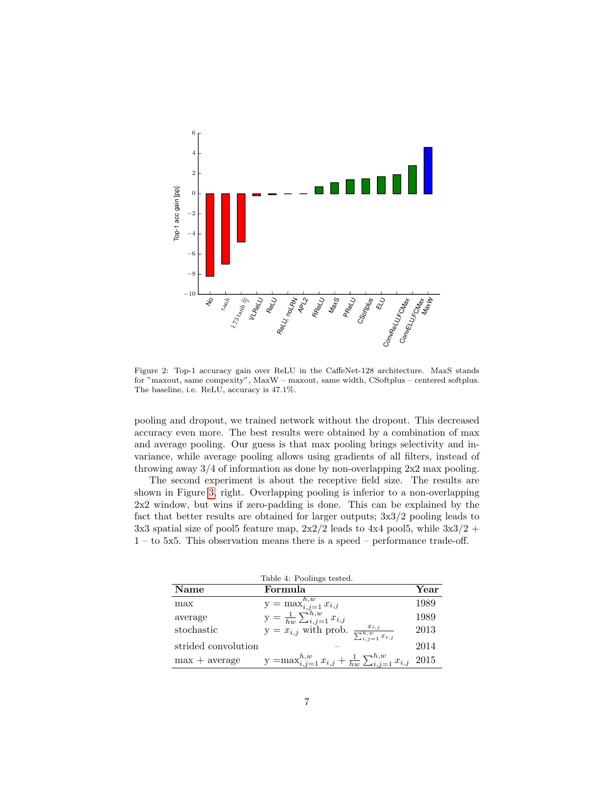

<span id="page-6-0"></span>Figure 2: Top-1 accuracy gain over ReLU in the CaffeNet-128 architecture. MaxS stands for "maxout, same compexity", MaxW – maxout, same width, CSoftplus – centered softplus. The baseline, i.e. ReLU, accuracy is 47.1%.

pooling and dropout, we trained network without the dropout. This decreased accuracy even more. The best results were obtained by a combination of max and average pooling. Our guess is that max pooling brings selectivity and invariance, while average pooling allows using gradients of all filters, instead of throwing away 3/4 of information as done by non-overlapping 2x2 max pooling.

The second experiment is about the receptive field size. The results are shown in Figure [3,](#page-7-0) right. Overlapping pooling is inferior to a non-overlapping 2x2 window, but wins if zero-padding is done. This can be explained by the fact that better results are obtained for larger outputs; 3x3/2 pooling leads to 3x3 spatial size of pool5 feature map,  $2x2/2$  leads to  $4x4$  pool5, while  $3x3/2 +$ 1 – to 5x5. This observation means there is a speed – performance trade-off.

<span id="page-6-1"></span>

| Table 4: Poolings tested. |                                                                                   |      |
|---------------------------|-----------------------------------------------------------------------------------|------|
| Name                      | Formula                                                                           | Year |
| max                       | y = max $_{i,j=1}^{h,w} x_{i,j}$<br>y = $\frac{1}{hw} \sum_{i,j=1}^{h,w} x_{i,j}$ | 1989 |
| average                   |                                                                                   | 1989 |
| stochastic                | $y = x_{i,j}$ with prob. $\frac{x_{i,j}}{\sum_{i,j=1}^{h,w} x_{i,j}}$             | 2013 |
| strided convolution       |                                                                                   | 2014 |
| $max + average$           | y = $\max_{i,j=1}^{h,w} x_{i,j} + \frac{1}{hw} \sum_{i,j=1}^{h,w} x_{i,j}$ 2015   |      |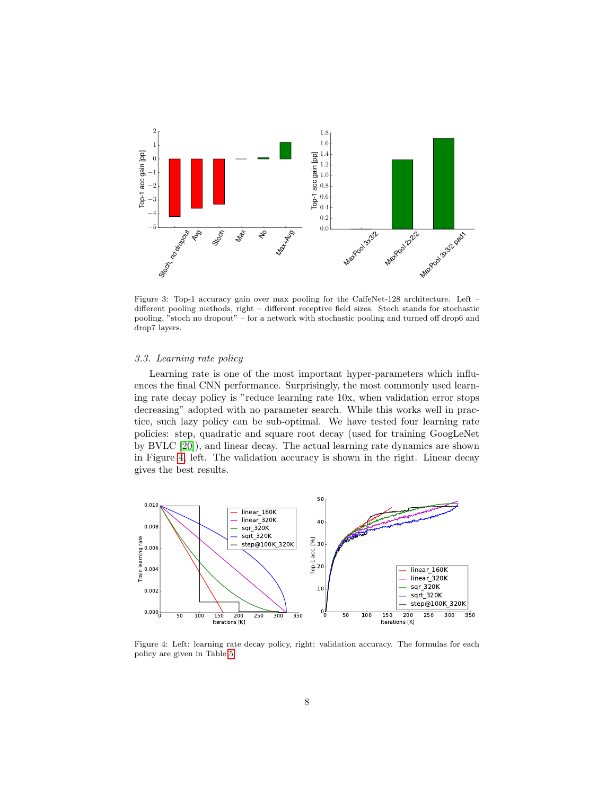

<span id="page-7-0"></span>Figure 3: Top-1 accuracy gain over max pooling for the CaffeNet-128 architecture. Left – different pooling methods, right – different receptive field sizes. Stoch stands for stochastic pooling, "stoch no dropout" – for a network with stochastic pooling and turned off drop6 and drop7 layers.

## 3.3. Learning rate policy

Learning rate is one of the most important hyper-parameters which influences the final CNN performance. Surprisingly, the most commonly used learning rate decay policy is "reduce learning rate 10x, when validation error stops decreasing" adopted with no parameter search. While this works well in practice, such lazy policy can be sub-optimal. We have tested four learning rate policies: step, quadratic and square root decay (used for training GoogLeNet by BVLC [\[20\]](#page-18-7)), and linear decay. The actual learning rate dynamics are shown in Figure [4,](#page-7-1) left. The validation accuracy is shown in the right. Linear decay gives the best results.



<span id="page-7-1"></span>Figure 4: Left: learning rate decay policy, right: validation accuracy. The formulas for each policy are given in Table [5](#page-8-0)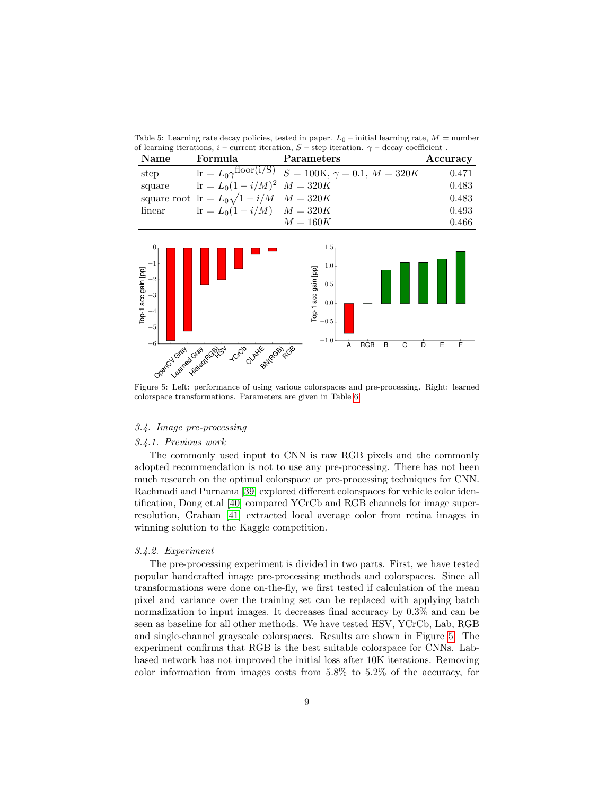<span id="page-8-0"></span>Table 5: Learning rate decay policies, tested in paper.  $L_0$  – initial learning rate,  $M =$  number of learning iterations,  $i$  – current iteration,  $S$  – step iteration.  $\gamma$  – decay coefficient.

| Name   | Formula                                                 | Parameters                                                                                 | Accuracy |
|--------|---------------------------------------------------------|--------------------------------------------------------------------------------------------|----------|
| step   |                                                         | $\overline{\text{lr} = L_0 \gamma^{\text{floor}(i/S)}}$ $S = 100K, \gamma = 0.1, M = 320K$ | 0.471    |
| square | $\text{lr} = L_0(1 - i/M)^2$ $M = 320K$                 |                                                                                            | 0.483    |
|        | square root $\text{lr} = L_0 \sqrt{1 - i/M}$ $M = 320K$ |                                                                                            | 0.483    |
| linear | $r = L_0(1 - i/M)$ $M = 320K$                           |                                                                                            | 0.493    |
|        |                                                         | $M=160K$                                                                                   | 0.466    |



<span id="page-8-1"></span>Figure 5: Left: performance of using various colorspaces and pre-processing. Right: learned colorspace transformations. Parameters are given in Table [6.](#page-9-0)

# 3.4. Image pre-processing

# 3.4.1. Previous work

The commonly used input to CNN is raw RGB pixels and the commonly adopted recommendation is not to use any pre-processing. There has not been much research on the optimal colorspace or pre-processing techniques for CNN. Rachmadi and Purnama [\[39\]](#page-19-12) explored different colorspaces for vehicle color identification, Dong et.al [\[40\]](#page-20-0) compared YCrCb and RGB channels for image superresolution, Graham [\[41\]](#page-20-1) extracted local average color from retina images in winning solution to the Kaggle competition.

## 3.4.2. Experiment

The pre-processing experiment is divided in two parts. First, we have tested popular handcrafted image pre-processing methods and colorspaces. Since all transformations were done on-the-fly, we first tested if calculation of the mean pixel and variance over the training set can be replaced with applying batch normalization to input images. It decreases final accuracy by 0.3% and can be seen as baseline for all other methods. We have tested HSV, YCrCb, Lab, RGB and single-channel grayscale colorspaces. Results are shown in Figure [5.](#page-8-1) The experiment confirms that RGB is the best suitable colorspace for CNNs. Labbased network has not improved the initial loss after 10K iterations. Removing color information from images costs from 5.8% to 5.2% of the accuracy, for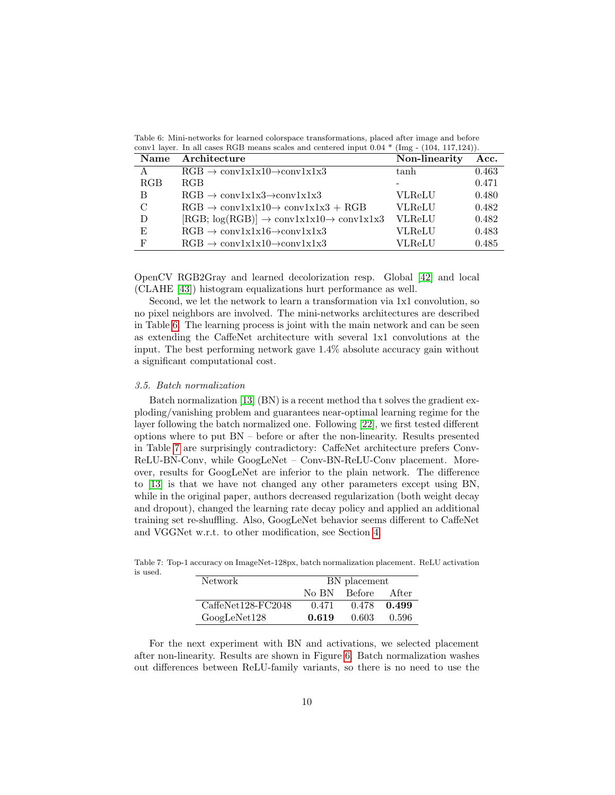<span id="page-9-0"></span>Table 6: Mini-networks for learned colorspace transformations, placed after image and before conv1 layer. In all cases RGB means scales and centered input 0.04 \* (Img - (104, 117,124)).

| <b>Name</b>   | Architecture                                                           | Non-linearity | Acc.  |
|---------------|------------------------------------------------------------------------|---------------|-------|
|               | $RGB \rightarrow \text{conv1x1x10} \rightarrow \text{conv1x1x3}$       | tanh          | 0.463 |
| <b>RGB</b>    | RGB                                                                    |               | 0.471 |
| B             | $RGB \rightarrow conv1x1x3 \rightarrow conv1x1x3$                      | VLReLU        | 0.480 |
| $\mathcal{C}$ | $RGB \rightarrow \text{conv1x1x10} \rightarrow \text{conv1x1x3} + RGB$ | <b>VLReLU</b> | 0.482 |
| D             | $[RGB; log(RGB)] \rightarrow conv1x1x10 \rightarrow conv1x1x3$         | <b>VLReLU</b> | 0.482 |
| E             | $RGB \rightarrow conv1x1x16 \rightarrow conv1x1x3$                     | VLReLU        | 0.483 |
| F             | $RGB \rightarrow \text{conv1x1x10} \rightarrow \text{conv1x1x3}$       | VLReLU        | 0.485 |

OpenCV RGB2Gray and learned decolorization resp. Global [\[42\]](#page-20-2) and local (CLAHE [\[43\]](#page-20-3)) histogram equalizations hurt performance as well.

Second, we let the network to learn a transformation via 1x1 convolution, so no pixel neighbors are involved. The mini-networks architectures are described in Table [6.](#page-9-0) The learning process is joint with the main network and can be seen as extending the CaffeNet architecture with several 1x1 convolutions at the input. The best performing network gave 1.4% absolute accuracy gain without a significant computational cost.

#### 3.5. Batch normalization

Batch normalization [\[13\]](#page-18-0) (BN) is a recent method tha t solves the gradient exploding/vanishing problem and guarantees near-optimal learning regime for the layer following the batch normalized one. Following [\[22\]](#page-18-9), we first tested different options where to put BN – before or after the non-linearity. Results presented in Table [7](#page-9-1) are surprisingly contradictory: CaffeNet architecture prefers Conv-ReLU-BN-Conv, while GoogLeNet – Conv-BN-ReLU-Conv placement. Moreover, results for GoogLeNet are inferior to the plain network. The difference to [\[13\]](#page-18-0) is that we have not changed any other parameters except using BN, while in the original paper, authors decreased regularization (both weight decay and dropout), changed the learning rate decay policy and applied an additional training set re-shuffling. Also, GoogLeNet behavior seems different to CaffeNet and VGGNet w.r.t. to other modification, see Section [4.](#page-14-0)

<span id="page-9-1"></span>Table 7: Top-1 accuracy on ImageNet-128px, batch normalization placement. ReLU activation is used.

| Network            |         | BN placement |         |  |
|--------------------|---------|--------------|---------|--|
|                    | No BN - | Before       | - After |  |
| CaffeNet128-FC2048 | 0.471   | 0.478        | 0.499   |  |
| GoogleNet128       | 0.619   | 0.603        | -0.596  |  |

For the next experiment with BN and activations, we selected placement after non-linearity. Results are shown in Figure [6.](#page-10-0) Batch normalization washes out differences between ReLU-family variants, so there is no need to use the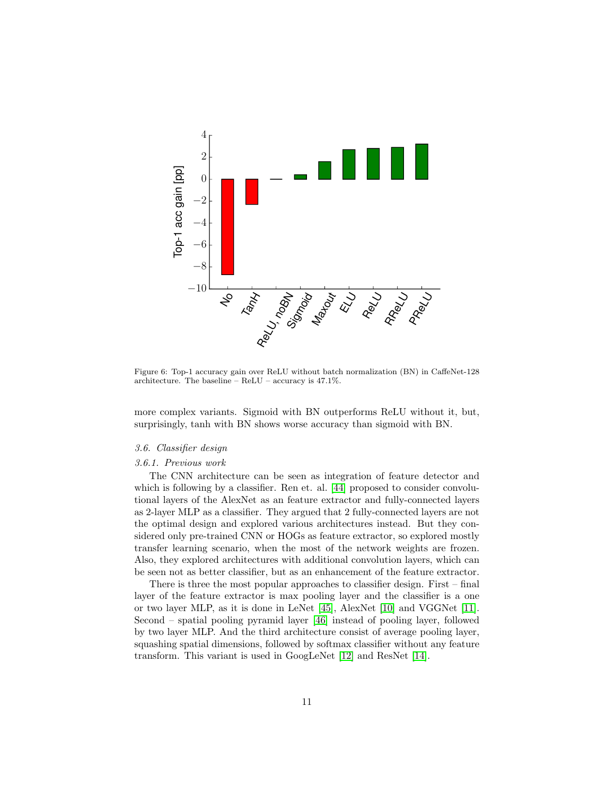

<span id="page-10-0"></span>Figure 6: Top-1 accuracy gain over ReLU without batch normalization (BN) in CaffeNet-128 architecture. The baseline – ReLU – accuracy is 47.1%.

more complex variants. Sigmoid with BN outperforms ReLU without it, but, surprisingly, tanh with BN shows worse accuracy than sigmoid with BN.

## 3.6. Classifier design

#### 3.6.1. Previous work

The CNN architecture can be seen as integration of feature detector and which is following by a classifier. Ren et. al. [\[44\]](#page-20-4) proposed to consider convolutional layers of the AlexNet as an feature extractor and fully-connected layers as 2-layer MLP as a classifier. They argued that 2 fully-connected layers are not the optimal design and explored various architectures instead. But they considered only pre-trained CNN or HOGs as feature extractor, so explored mostly transfer learning scenario, when the most of the network weights are frozen. Also, they explored architectures with additional convolution layers, which can be seen not as better classifier, but as an enhancement of the feature extractor.

There is three the most popular approaches to classifier design. First – final layer of the feature extractor is max pooling layer and the classifier is a one or two layer MLP, as it is done in LeNet [\[45\]](#page-20-5), AlexNet [\[10\]](#page-17-9) and VGGNet [\[11\]](#page-17-10). Second – spatial pooling pyramid layer [\[46\]](#page-20-6) instead of pooling layer, followed by two layer MLP. And the third architecture consist of average pooling layer, squashing spatial dimensions, followed by softmax classifier without any feature transform. This variant is used in GoogLeNet [\[12\]](#page-17-11) and ResNet [\[14\]](#page-18-1).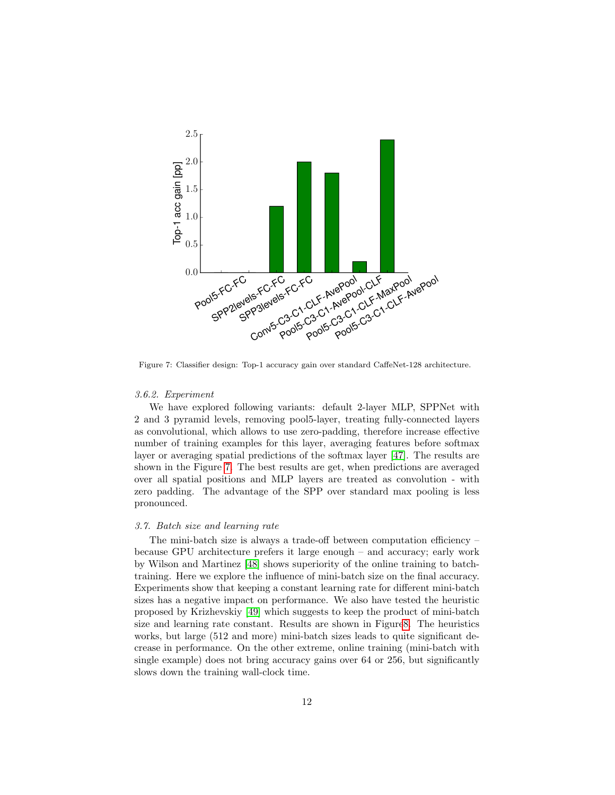

<span id="page-11-0"></span>Figure 7: Classifier design: Top-1 accuracy gain over standard CaffeNet-128 architecture.

#### 3.6.2. Experiment

We have explored following variants: default 2-layer MLP, SPPNet with 2 and 3 pyramid levels, removing pool5-layer, treating fully-connected layers as convolutional, which allows to use zero-padding, therefore increase effective number of training examples for this layer, averaging features before softmax layer or averaging spatial predictions of the softmax layer [\[47\]](#page-20-7). The results are shown in the Figure [7.](#page-11-0) The best results are get, when predictions are averaged over all spatial positions and MLP layers are treated as convolution - with zero padding. The advantage of the SPP over standard max pooling is less pronounced.

## 3.7. Batch size and learning rate

The mini-batch size is always a trade-off between computation efficiency  $$ because GPU architecture prefers it large enough – and accuracy; early work by Wilson and Martinez [\[48\]](#page-20-8) shows superiority of the online training to batchtraining. Here we explore the influence of mini-batch size on the final accuracy. Experiments show that keeping a constant learning rate for different mini-batch sizes has a negative impact on performance. We also have tested the heuristic proposed by Krizhevskiy [\[49\]](#page-20-9) which suggests to keep the product of mini-batch size and learning rate constant. Results are shown in Figur[e8.](#page-12-0) The heuristics works, but large (512 and more) mini-batch sizes leads to quite significant decrease in performance. On the other extreme, online training (mini-batch with single example) does not bring accuracy gains over 64 or 256, but significantly slows down the training wall-clock time.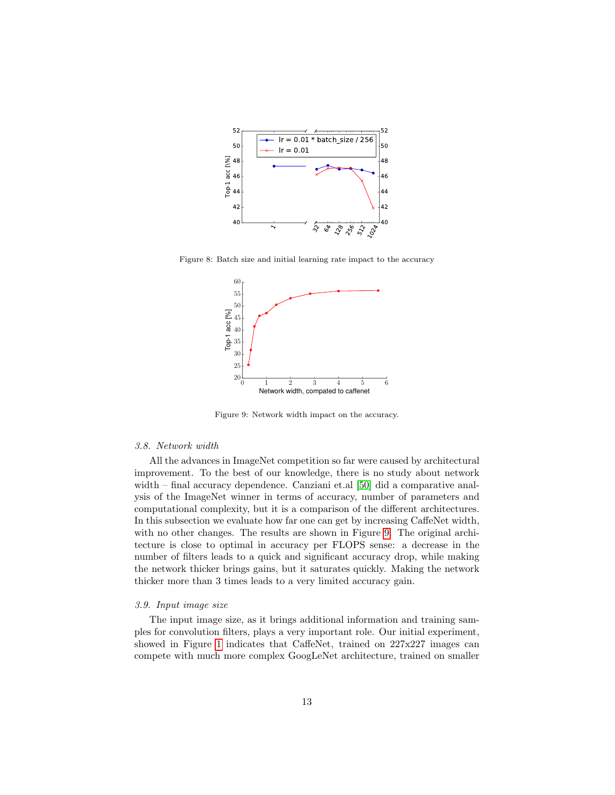

Figure 8: Batch size and initial learning rate impact to the accuracy

<span id="page-12-0"></span>

<span id="page-12-1"></span>Figure 9: Network width impact on the accuracy.

### 3.8. Network width

All the advances in ImageNet competition so far were caused by architectural improvement. To the best of our knowledge, there is no study about network width – final accuracy dependence. Canziani et.al [\[50\]](#page-20-10) did a comparative analysis of the ImageNet winner in terms of accuracy, number of parameters and computational complexity, but it is a comparison of the different architectures. In this subsection we evaluate how far one can get by increasing CaffeNet width, with no other changes. The results are shown in Figure [9.](#page-12-1) The original architecture is close to optimal in accuracy per FLOPS sense: a decrease in the number of filters leads to a quick and significant accuracy drop, while making the network thicker brings gains, but it saturates quickly. Making the network thicker more than 3 times leads to a very limited accuracy gain.

#### 3.9. Input image size

The input image size, as it brings additional information and training samples for convolution filters, plays a very important role. Our initial experiment, showed in Figure [1](#page-3-1) indicates that CaffeNet, trained on 227x227 images can compete with much more complex GoogLeNet architecture, trained on smaller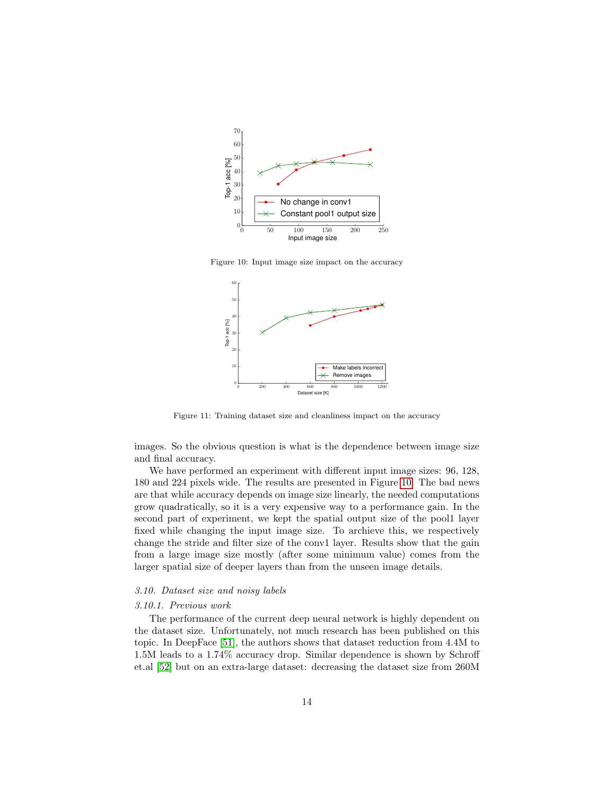

Figure 10: Input image size impact on the accuracy

<span id="page-13-0"></span>

<span id="page-13-1"></span>Figure 11: Training dataset size and cleanliness impact on the accuracy

images. So the obvious question is what is the dependence between image size and final accuracy.

We have performed an experiment with different input image sizes: 96, 128, 180 and 224 pixels wide. The results are presented in Figure [10.](#page-13-0) The bad news are that while accuracy depends on image size linearly, the needed computations grow quadratically, so it is a very expensive way to a performance gain. In the second part of experiment, we kept the spatial output size of the pool1 layer fixed while changing the input image size. To archieve this, we respectively change the stride and filter size of the conv1 layer. Results show that the gain from a large image size mostly (after some minimum value) comes from the larger spatial size of deeper layers than from the unseen image details.

## 3.10. Dataset size and noisy labels

#### 3.10.1. Previous work

The performance of the current deep neural network is highly dependent on the dataset size. Unfortunately, not much research has been published on this topic. In DeepFace [\[51\]](#page-20-11), the authors shows that dataset reduction from 4.4M to 1.5M leads to a 1.74% accuracy drop. Similar dependence is shown by Schroff et.al [\[52\]](#page-20-12) but on an extra-large dataset: decreasing the dataset size from 260M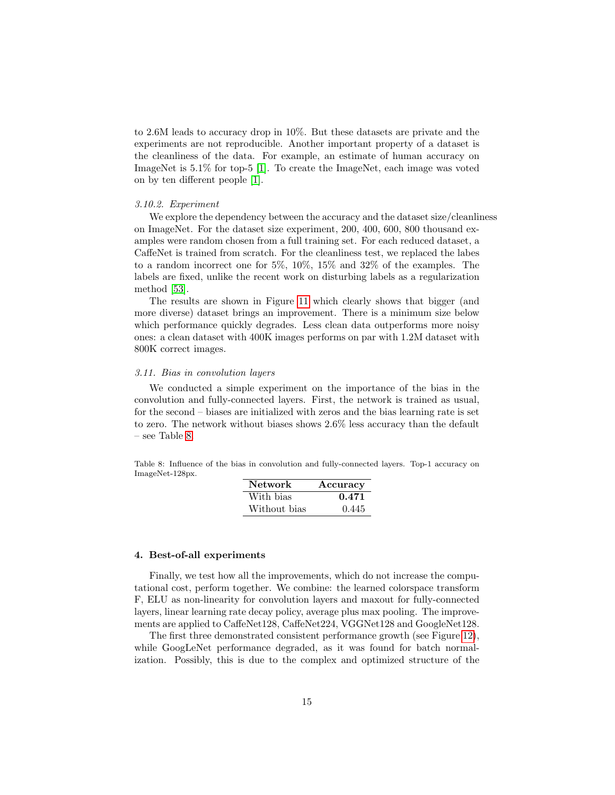to 2.6M leads to accuracy drop in 10%. But these datasets are private and the experiments are not reproducible. Another important property of a dataset is the cleanliness of the data. For example, an estimate of human accuracy on ImageNet is 5.1% for top-5 [\[1\]](#page-17-0). To create the ImageNet, each image was voted on by ten different people [\[1\]](#page-17-0).

## 3.10.2. Experiment

We explore the dependency between the accuracy and the dataset size/cleanliness on ImageNet. For the dataset size experiment, 200, 400, 600, 800 thousand examples were random chosen from a full training set. For each reduced dataset, a CaffeNet is trained from scratch. For the cleanliness test, we replaced the labes to a random incorrect one for 5%, 10%, 15% and 32% of the examples. The labels are fixed, unlike the recent work on disturbing labels as a regularization method [\[53\]](#page-20-13).

The results are shown in Figure [11](#page-13-1) which clearly shows that bigger (and more diverse) dataset brings an improvement. There is a minimum size below which performance quickly degrades. Less clean data outperforms more noisy ones: a clean dataset with 400K images performs on par with 1.2M dataset with 800K correct images.

#### 3.11. Bias in convolution layers

We conducted a simple experiment on the importance of the bias in the convolution and fully-connected layers. First, the network is trained as usual, for the second – biases are initialized with zeros and the bias learning rate is set to zero. The network without biases shows 2.6% less accuracy than the default – see Table [8.](#page-14-1)

<span id="page-14-1"></span>Table 8: Influence of the bias in convolution and fully-connected layers. Top-1 accuracy on ImageNet-128px.

| <b>Network</b> | Accuracy |
|----------------|----------|
| With bias      | 0.471    |
| Without bias   | 0.445    |

#### <span id="page-14-0"></span>4. Best-of-all experiments

Finally, we test how all the improvements, which do not increase the computational cost, perform together. We combine: the learned colorspace transform F, ELU as non-linearity for convolution layers and maxout for fully-connected layers, linear learning rate decay policy, average plus max pooling. The improvements are applied to CaffeNet128, CaffeNet224, VGGNet128 and GoogleNet128.

The first three demonstrated consistent performance growth (see Figure [12\)](#page-15-1), while GoogLeNet performance degraded, as it was found for batch normalization. Possibly, this is due to the complex and optimized structure of the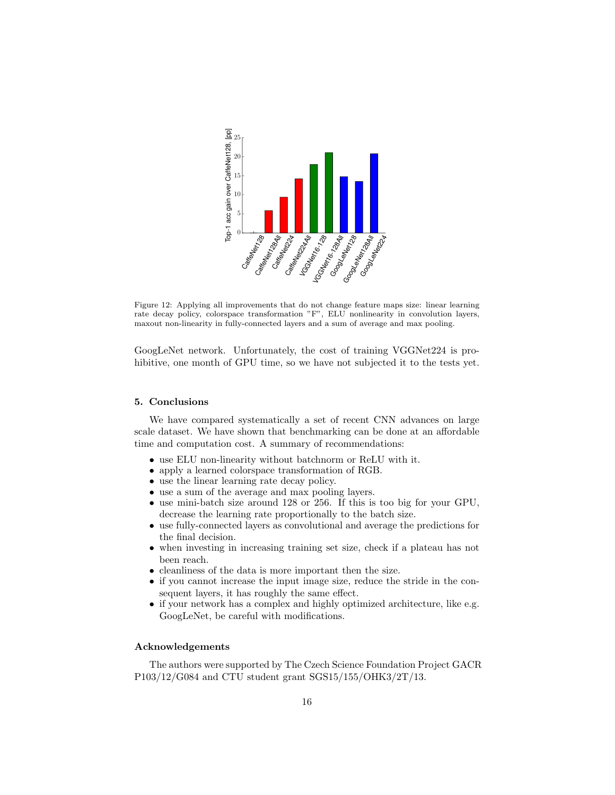

<span id="page-15-1"></span>Figure 12: Applying all improvements that do not change feature maps size: linear learning rate decay policy, colorspace transformation "F", ELU nonlinearity in convolution layers, maxout non-linearity in fully-connected layers and a sum of average and max pooling.

GoogLeNet network. Unfortunately, the cost of training VGGNet224 is prohibitive, one month of GPU time, so we have not subjected it to the tests yet.

#### <span id="page-15-0"></span>5. Conclusions

We have compared systematically a set of recent CNN advances on large scale dataset. We have shown that benchmarking can be done at an affordable time and computation cost. A summary of recommendations:

- use ELU non-linearity without batchnorm or ReLU with it.
- apply a learned colorspace transformation of RGB.
- use the linear learning rate decay policy.
- use a sum of the average and max pooling layers.
- use mini-batch size around 128 or 256. If this is too big for your GPU, decrease the learning rate proportionally to the batch size.
- use fully-connected layers as convolutional and average the predictions for the final decision.
- when investing in increasing training set size, check if a plateau has not been reach.
- cleanliness of the data is more important then the size.
- if you cannot increase the input image size, reduce the stride in the consequent layers, it has roughly the same effect.
- if your network has a complex and highly optimized architecture, like e.g. GoogLeNet, be careful with modifications.

# Acknowledgements

The authors were supported by The Czech Science Foundation Project GACR P103/12/G084 and CTU student grant SGS15/155/OHK3/2T/13.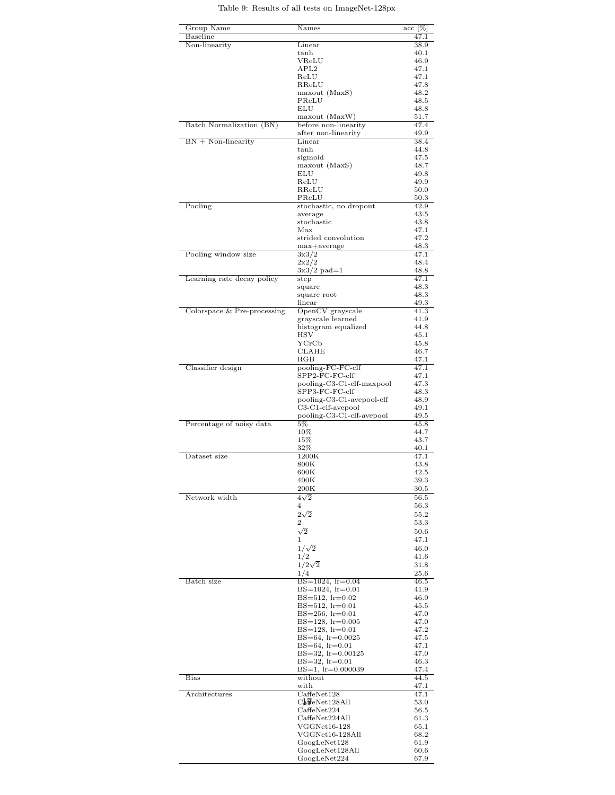# Table 9: Results of all tests on ImageNet-128px

| Group Name                  | $\rm{Names}$                                  | $\mathrm{acc}\; [\%]$ |
|-----------------------------|-----------------------------------------------|-----------------------|
| Baseline<br>Non-linearity   | Linear                                        | 47.1<br>38.9          |
|                             | tanh                                          | 40.1                  |
|                             | VReLU                                         | 46.9                  |
|                             | APL2                                          | 47.1                  |
|                             | ReLU<br>RReLU                                 | 47.1<br>47.8          |
|                             | maxout (MaxS)                                 | 48.2                  |
|                             | PReLU                                         | 48.5                  |
|                             | ELU                                           | 48.8                  |
|                             | maxout (MaxW)                                 | 51.7                  |
| Batch Normalization (BN)    | before non-linearity                          | 47.4                  |
|                             | after non-linearity                           | 49.9                  |
| $BN + Non-linearity$        | Linear<br>tanh                                | 38.4<br>44.8          |
|                             | sigmoid                                       | 47.5                  |
|                             | maxout (MaxS)                                 | 48.7                  |
|                             | ELU                                           | 49.8                  |
|                             | ReLU                                          | 49.9                  |
|                             | RReLU<br>PReLU                                | 50.0<br>50.3          |
| Pooling                     | stochastic, no dropout                        | 42.9                  |
|                             | average                                       | 43.5                  |
|                             | stochastic                                    | 43.8                  |
|                             | Max                                           | 47.1                  |
|                             | strided convolution                           | 47.2                  |
| Pooling window size         | max+average<br>3x3/2                          | 48.3<br>47.1          |
|                             | $2x^2/2$                                      | 48.4                  |
|                             | $3x3/2$ pad=1                                 | 48.8                  |
| Learning rate decay policy  | step                                          | 47.1                  |
|                             | square                                        | 48.3                  |
|                             | square root                                   | 48.3                  |
| Colorspace & Pre-processing | linear<br>OpenCV grayscale                    | 49.3<br>41.3          |
|                             | grayscale learned                             | 41.9                  |
|                             | histogram equalized                           | 44.8                  |
|                             | HSV                                           | 45.1                  |
|                             | YCrCb                                         | 45.8                  |
|                             | CLAHE                                         | 46.7                  |
| Classifier design           | $_{\rm RGB}$<br>pooling-FC-FC-clf             | 47.1<br>47.1          |
|                             | SPP2-FC-FC-clf                                | 47.1                  |
|                             | pooling-C3-C1-clf-maxpool                     | 47.3                  |
|                             | SPP3-FC-FC-clf                                | 48.3                  |
|                             | pooling-C3-C1-avepool-clf                     | 48.9                  |
|                             | $C3-C1$ -clf-avepool                          | 49.1                  |
| Percentage of noisy data    | pooling-C3-C1-clf-avepool<br>5%               | 49.5<br>45.8          |
|                             | 10%                                           | 44.7                  |
|                             | 15%                                           | 43.7                  |
|                             | 32%                                           | 40.1                  |
| Dataset size                | 1200K                                         | 47.1                  |
|                             | $800\mathrm{K}$<br>$_{\rm 600K}$              | 43.8<br>42.5          |
|                             | 400K                                          | 39.3                  |
|                             | $_{200\mathrm{K}}$                            | 30.5                  |
| Network width               | $4\sqrt{2}$                                   | 56.5                  |
|                             | 4                                             | 56.3                  |
|                             | $2\sqrt{2}$                                   | 55.2                  |
|                             | 2                                             | 53.3                  |
|                             | $\sqrt{2}$                                    | 50.6                  |
|                             | 1                                             | 47.1<br>46.0          |
|                             | $1/\sqrt{2}$<br>1/2                           | 41.6                  |
|                             | $1/2\sqrt{2}$                                 | 31.8                  |
|                             | 1/4                                           | 25.6                  |
| Batch size                  | $BS=1024$ , $lr=0.04$                         | 46.5                  |
|                             | $BS=1024$ , $lr=0.01$                         | 41.9                  |
|                             | $BS = 512$ , $lr = 0.02$                      | 46.9                  |
|                             | $BS=512, lr=0.01$<br>$BS=256$ , $lr=0.01$     | 45.5<br>47.0          |
|                             | $BS=128$ , $lr=0.005$                         | 47.0                  |
|                             | $BS=128$ , $lr=0.01$                          | 47.2                  |
|                             | $BS=64$ , $lr=0.0025$                         | 47.5                  |
|                             | $BS=64$ , $lr=0.01$                           | 47.1                  |
|                             | BS=32, lr=0.00125                             | 47.0                  |
|                             | $BS=32$ , $lr=0.01$<br>$BS=1$ , $lr=0.000039$ | 46.3<br>47.4          |
| Bias                        | without                                       | 44.5                  |
|                             | with                                          | 47.1                  |
| Architectures               | CaffeNet128                                   | 47.1                  |
|                             | $C_{\mathbf{k}}$ FeNet128All                  | 53.0                  |
|                             | CaffeNet224                                   | 56.5                  |
|                             | CaffeNet224All<br>$VGGNet16-128$              | 61.3<br>65.1          |
|                             | VGGNet16-128All                               | 68.2                  |
|                             | GoogLeNet128                                  | 61.9                  |
|                             | GoogLeNet128All                               | 60.6                  |
|                             | GoogLeNet224                                  | 67.9                  |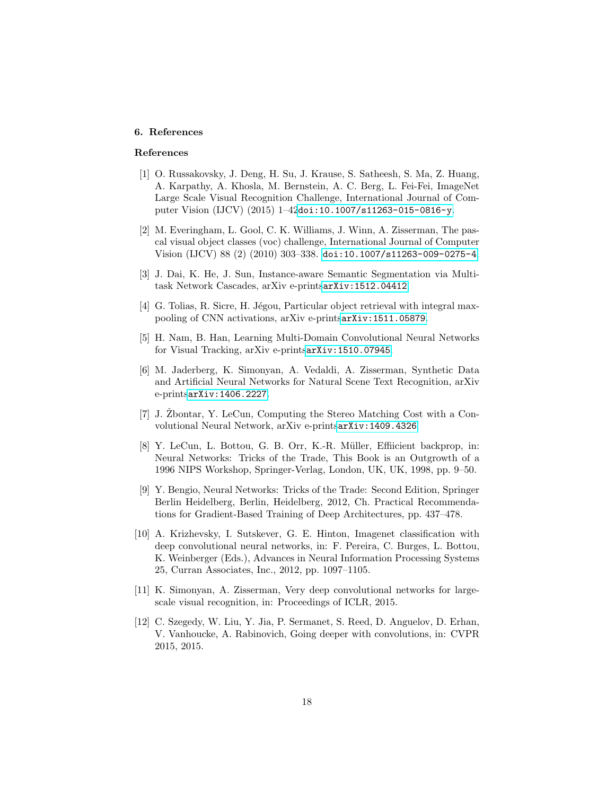# 6. References

# References

- <span id="page-17-0"></span>[1] O. Russakovsky, J. Deng, H. Su, J. Krause, S. Satheesh, S. Ma, Z. Huang, A. Karpathy, A. Khosla, M. Bernstein, A. C. Berg, L. Fei-Fei, ImageNet Large Scale Visual Recognition Challenge, International Journal of Computer Vision (IJCV) (2015) 1–42[doi:10.1007/s11263-015-0816-y](http://dx.doi.org/10.1007/s11263-015-0816-y).
- <span id="page-17-1"></span>[2] M. Everingham, L. Gool, C. K. Williams, J. Winn, A. Zisserman, The pascal visual object classes (voc) challenge, International Journal of Computer Vision (IJCV) 88 (2) (2010) 303–338. [doi:10.1007/s11263-009-0275-4](http://dx.doi.org/10.1007/s11263-009-0275-4).
- <span id="page-17-2"></span>[3] J. Dai, K. He, J. Sun, Instance-aware Semantic Segmentation via Multitask Network Cascades, arXiv e-prints[arXiv:1512.04412](http://arxiv.org/abs/1512.04412).
- <span id="page-17-3"></span>[4] G. Tolias, R. Sicre, H. Jégou, Particular object retrieval with integral maxpooling of CNN activations, arXiv e-prints[arXiv:1511.05879](http://arxiv.org/abs/1511.05879).
- <span id="page-17-4"></span>[5] H. Nam, B. Han, Learning Multi-Domain Convolutional Neural Networks for Visual Tracking, arXiv e-prints[arXiv:1510.07945](http://arxiv.org/abs/1510.07945).
- <span id="page-17-5"></span>[6] M. Jaderberg, K. Simonyan, A. Vedaldi, A. Zisserman, Synthetic Data and Artificial Neural Networks for Natural Scene Text Recognition, arXiv e-prints[arXiv:1406.2227](http://arxiv.org/abs/1406.2227).
- <span id="page-17-6"></span>[7] J.  $\check{Z}$ bontar, Y. LeCun, Computing the Stereo Matching Cost with a Convolutional Neural Network, arXiv e-prints[arXiv:1409.4326](http://arxiv.org/abs/1409.4326).
- <span id="page-17-7"></span>[8] Y. LeCun, L. Bottou, G. B. Orr, K.-R. Müller, Effiicient backprop, in: Neural Networks: Tricks of the Trade, This Book is an Outgrowth of a 1996 NIPS Workshop, Springer-Verlag, London, UK, UK, 1998, pp. 9–50.
- <span id="page-17-8"></span>[9] Y. Bengio, Neural Networks: Tricks of the Trade: Second Edition, Springer Berlin Heidelberg, Berlin, Heidelberg, 2012, Ch. Practical Recommendations for Gradient-Based Training of Deep Architectures, pp. 437–478.
- <span id="page-17-9"></span>[10] A. Krizhevsky, I. Sutskever, G. E. Hinton, Imagenet classification with deep convolutional neural networks, in: F. Pereira, C. Burges, L. Bottou, K. Weinberger (Eds.), Advances in Neural Information Processing Systems 25, Curran Associates, Inc., 2012, pp. 1097–1105.
- <span id="page-17-10"></span>[11] K. Simonyan, A. Zisserman, Very deep convolutional networks for largescale visual recognition, in: Proceedings of ICLR, 2015.
- <span id="page-17-11"></span>[12] C. Szegedy, W. Liu, Y. Jia, P. Sermanet, S. Reed, D. Anguelov, D. Erhan, V. Vanhoucke, A. Rabinovich, Going deeper with convolutions, in: CVPR 2015, 2015.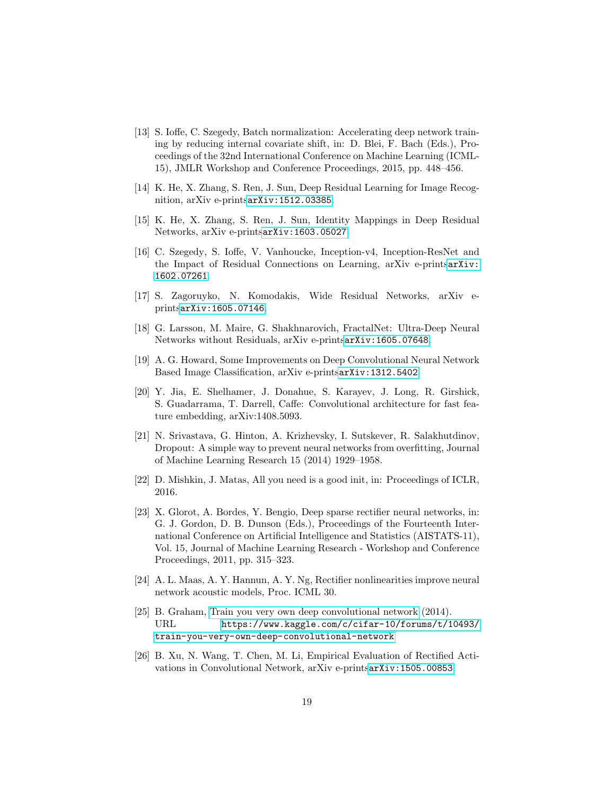- <span id="page-18-0"></span>[13] S. Ioffe, C. Szegedy, Batch normalization: Accelerating deep network training by reducing internal covariate shift, in: D. Blei, F. Bach (Eds.), Proceedings of the 32nd International Conference on Machine Learning (ICML-15), JMLR Workshop and Conference Proceedings, 2015, pp. 448–456.
- <span id="page-18-1"></span>[14] K. He, X. Zhang, S. Ren, J. Sun, Deep Residual Learning for Image Recognition, arXiv e-prints[arXiv:1512.03385](http://arxiv.org/abs/1512.03385).
- <span id="page-18-2"></span>[15] K. He, X. Zhang, S. Ren, J. Sun, Identity Mappings in Deep Residual Networks, arXiv e-prints[arXiv:1603.05027](http://arxiv.org/abs/1603.05027).
- <span id="page-18-3"></span>[16] C. Szegedy, S. Ioffe, V. Vanhoucke, Inception-v4, Inception-ResNet and the Impact of Residual Connections on Learning, arXiv e-prints[arXiv:](http://arxiv.org/abs/1602.07261) [1602.07261](http://arxiv.org/abs/1602.07261).
- <span id="page-18-4"></span>[17] S. Zagoruyko, N. Komodakis, Wide Residual Networks, arXiv eprints[arXiv:1605.07146](http://arxiv.org/abs/1605.07146).
- <span id="page-18-5"></span>[18] G. Larsson, M. Maire, G. Shakhnarovich, FractalNet: Ultra-Deep Neural Networks without Residuals, arXiv e-prints[arXiv:1605.07648](http://arxiv.org/abs/1605.07648).
- <span id="page-18-6"></span>[19] A. G. Howard, Some Improvements on Deep Convolutional Neural Network Based Image Classification, arXiv e-prints[arXiv:1312.5402](http://arxiv.org/abs/1312.5402).
- <span id="page-18-7"></span>[20] Y. Jia, E. Shelhamer, J. Donahue, S. Karayev, J. Long, R. Girshick, S. Guadarrama, T. Darrell, Caffe: Convolutional architecture for fast feature embedding, arXiv:1408.5093.
- <span id="page-18-8"></span>[21] N. Srivastava, G. Hinton, A. Krizhevsky, I. Sutskever, R. Salakhutdinov, Dropout: A simple way to prevent neural networks from overfitting, Journal of Machine Learning Research 15 (2014) 1929–1958.
- <span id="page-18-9"></span>[22] D. Mishkin, J. Matas, All you need is a good init, in: Proceedings of ICLR, 2016.
- <span id="page-18-10"></span>[23] X. Glorot, A. Bordes, Y. Bengio, Deep sparse rectifier neural networks, in: G. J. Gordon, D. B. Dunson (Eds.), Proceedings of the Fourteenth International Conference on Artificial Intelligence and Statistics (AISTATS-11), Vol. 15, Journal of Machine Learning Research - Workshop and Conference Proceedings, 2011, pp. 315–323.
- <span id="page-18-11"></span>[24] A. L. Maas, A. Y. Hannun, A. Y. Ng, Rectifier nonlinearities improve neural network acoustic models, Proc. ICML 30.
- <span id="page-18-12"></span>[25] B. Graham, [Train you very own deep convolutional network](https://www.kaggle.com/c/cifar-10/forums/t/10493/train-you-very-own-deep-convolutional-network) (2014). URL [https://www.kaggle.com/c/cifar-10/forums/t/10493/](https://www.kaggle.com/c/cifar-10/forums/t/10493/train-you-very-own-deep-convolutional-network) [train-you-very-own-deep-convolutional-network](https://www.kaggle.com/c/cifar-10/forums/t/10493/train-you-very-own-deep-convolutional-network)
- <span id="page-18-13"></span>[26] B. Xu, N. Wang, T. Chen, M. Li, Empirical Evaluation of Rectified Activations in Convolutional Network, arXiv e-prints[arXiv:1505.00853](http://arxiv.org/abs/1505.00853).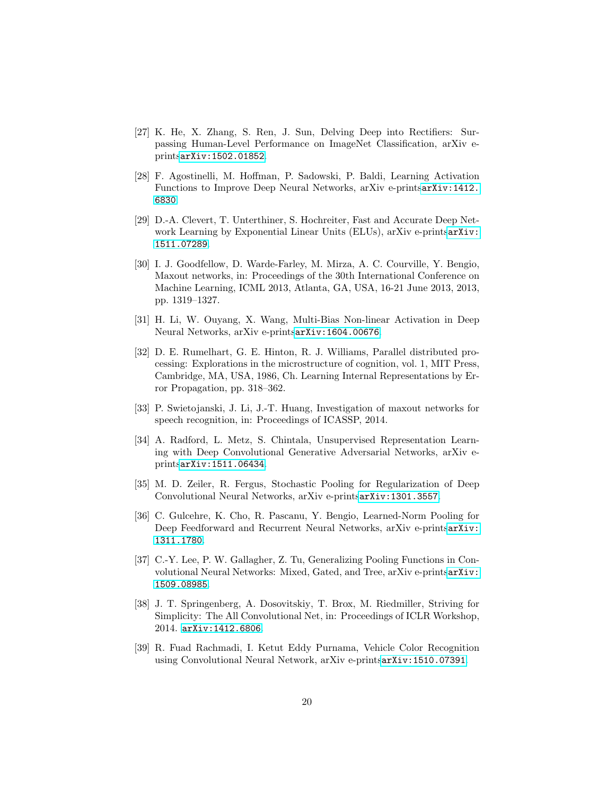- <span id="page-19-0"></span>[27] K. He, X. Zhang, S. Ren, J. Sun, Delving Deep into Rectifiers: Surpassing Human-Level Performance on ImageNet Classification, arXiv eprints[arXiv:1502.01852](http://arxiv.org/abs/1502.01852).
- <span id="page-19-1"></span>[28] F. Agostinelli, M. Hoffman, P. Sadowski, P. Baldi, Learning Activation Functions to Improve Deep Neural Networks, arXiv e-prints[arXiv:1412.](http://arxiv.org/abs/1412.6830) [6830](http://arxiv.org/abs/1412.6830).
- <span id="page-19-2"></span>[29] D.-A. Clevert, T. Unterthiner, S. Hochreiter, Fast and Accurate Deep Network Learning by Exponential Linear Units (ELUs), arXiv e-prints[arXiv:](http://arxiv.org/abs/1511.07289) [1511.07289](http://arxiv.org/abs/1511.07289).
- <span id="page-19-3"></span>[30] I. J. Goodfellow, D. Warde-Farley, M. Mirza, A. C. Courville, Y. Bengio, Maxout networks, in: Proceedings of the 30th International Conference on Machine Learning, ICML 2013, Atlanta, GA, USA, 16-21 June 2013, 2013, pp. 1319–1327.
- <span id="page-19-4"></span>[31] H. Li, W. Ouyang, X. Wang, Multi-Bias Non-linear Activation in Deep Neural Networks, arXiv e-prints[arXiv:1604.00676](http://arxiv.org/abs/1604.00676).
- <span id="page-19-5"></span>[32] D. E. Rumelhart, G. E. Hinton, R. J. Williams, Parallel distributed processing: Explorations in the microstructure of cognition, vol. 1, MIT Press, Cambridge, MA, USA, 1986, Ch. Learning Internal Representations by Error Propagation, pp. 318–362.
- <span id="page-19-6"></span>[33] P. Swietojanski, J. Li, J.-T. Huang, Investigation of maxout networks for speech recognition, in: Proceedings of ICASSP, 2014.
- <span id="page-19-7"></span>[34] A. Radford, L. Metz, S. Chintala, Unsupervised Representation Learning with Deep Convolutional Generative Adversarial Networks, arXiv eprints[arXiv:1511.06434](http://arxiv.org/abs/1511.06434).
- <span id="page-19-8"></span>[35] M. D. Zeiler, R. Fergus, Stochastic Pooling for Regularization of Deep Convolutional Neural Networks, arXiv e-prints[arXiv:1301.3557](http://arxiv.org/abs/1301.3557).
- <span id="page-19-9"></span>[36] C. Gulcehre, K. Cho, R. Pascanu, Y. Bengio, Learned-Norm Pooling for Deep Feedforward and Recurrent Neural Networks, arXiv e-prints[arXiv:](http://arxiv.org/abs/1311.1780) [1311.1780](http://arxiv.org/abs/1311.1780).
- <span id="page-19-10"></span>[37] C.-Y. Lee, P. W. Gallagher, Z. Tu, Generalizing Pooling Functions in Convolutional Neural Networks: Mixed, Gated, and Tree, arXiv e-prints[arXiv:](http://arxiv.org/abs/1509.08985) [1509.08985](http://arxiv.org/abs/1509.08985).
- <span id="page-19-11"></span>[38] J. T. Springenberg, A. Dosovitskiy, T. Brox, M. Riedmiller, Striving for Simplicity: The All Convolutional Net, in: Proceedings of ICLR Workshop, 2014. [arXiv:1412.6806](http://arxiv.org/abs/1412.6806).
- <span id="page-19-12"></span>[39] R. Fuad Rachmadi, I. Ketut Eddy Purnama, Vehicle Color Recognition using Convolutional Neural Network, arXiv e-prints[arXiv:1510.07391](http://arxiv.org/abs/1510.07391).